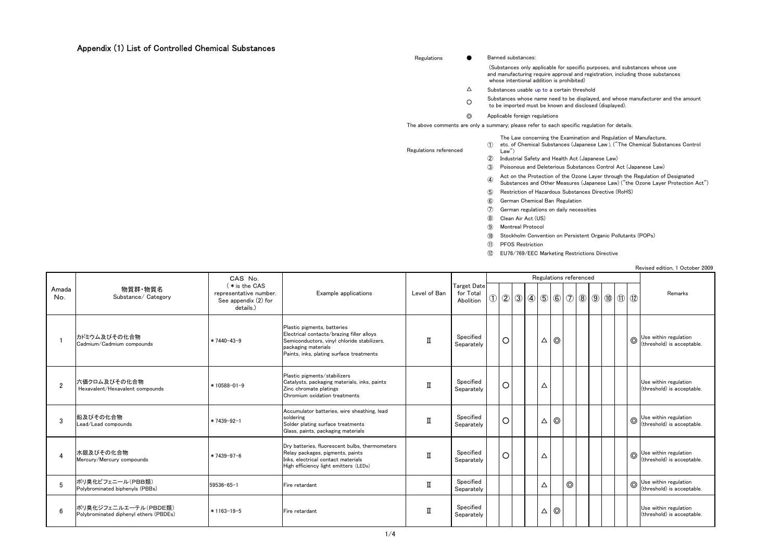## Appendix (1) List of Controlled Chemical Substances

Regulations ● Banned substances:

 (Substances only applicable for specific purposes, and substances whose use and manufacturing require approval and registration, including those substances whose intentional addition is prohibited)

- $\Delta$ Substances usable up to a certain threshold
- $\circ$ Substances whose name need to be displayed, and whose manufacturer and the amount to be imported must be known and disclosed (displayed).

◎Applicable foreign regulations

Law")

The above comments are only a summary; please refer to each specific regulation for details.

①etc. of Chemical Substances (Japanese Law ), ("The Chemical Substances Control The Law concerning the Examination and Regulation of Manufacture,

Regulations referenced

- ②Industrial Safety and Health Act (Japanese Law)
- ③Poisonous and Deleterious Substances Control Act (Japanese Law)
- ④ Act on the Protection of the Ozone Layer through the Regulation of Designated Substances and Other Measures (Japanese Law) ("the Ozone Layer Protection Act")
- ⑤Restriction of Hazardous Substances Directive (RoHS)
- ⑥German Chemical Ban Regulation
- $\circledcirc$ German regulations on daily necessities
- ⑧Clean Air Act (US)
- ⑨Montreal Protocol
- ⑩Stockholm Convention on Persistent Organic Pollutants (POPs)
- ⑪PFOS Restriction
- ⑫EU76/769/EEC Marketing Restrictions Directive

Revised edition, 1 October 2009

|                |                                                                |                                                                              |                                                                                                                                                                                            |              |                                              |               |         |  |             |                |                |  |  |            | NOVIOUG OGILIOII, I OULUDUI LUUU                                  |
|----------------|----------------------------------------------------------------|------------------------------------------------------------------------------|--------------------------------------------------------------------------------------------------------------------------------------------------------------------------------------------|--------------|----------------------------------------------|---------------|---------|--|-------------|----------------|----------------|--|--|------------|-------------------------------------------------------------------|
| Amada<br>No.   | 物質群·物質名<br>Substance/ Category                                 | CAS No.                                                                      |                                                                                                                                                                                            |              |                                              |               |         |  |             |                |                |  |  |            |                                                                   |
|                |                                                                | (* is the CAS<br>representative number.<br>See appendix (2) for<br>details.) | Example applications                                                                                                                                                                       | Level of Ban | <b>Target Date</b><br>for Total<br>Abolition | $\circled{1}$ |         |  |             |                |                |  |  |            | Remarks                                                           |
|                | カドミウム及びその化合物<br>Cadmium/Cadmium compounds                      | $*7440 - 43 - 9$                                                             | Plastic pigments, batteries<br>Electrical contacts/brazing filler alloys<br>Semiconductors, vinyl chloride stabilizers,<br>packaging materials<br>Paints, inks, plating surface treatments | П            | Specified<br>Separately                      |               | $\circ$ |  | Δ           | $\circ$        |                |  |  |            | $\circled{ }$ Use within regulation<br>(threshold) is acceptable. |
| $\overline{2}$ | 六価クロム及びその化合物<br>Hexavalent/Hexavalent compounds                | $*10588 - 01 - 9$                                                            | Plastic pigments/stabilizers<br>Catalysts, packaging materials, inks, paints<br>Zinc chromate platings<br>Chromium oxidation treatments                                                    | $\mathbf I$  | Specified<br>Separately                      |               | $\circ$ |  | Δ           |                |                |  |  |            | Use within regulation<br>(threshold) is acceptable.               |
| 3              | 鉛及びその化合物<br>Lead/Lead compounds                                | $*7439 - 92 - 1$                                                             | Accumulator batteries, wire sheathing, lead<br>soldering<br>Solder plating surface treatments<br>Glass, paints, packaging materials                                                        | П            | Specified<br>Separately                      |               | $\circ$ |  | Δ           | $\circledcirc$ |                |  |  |            | $\bigcirc$ Use within regulation<br>(threshold) is acceptable.    |
|                | 水銀及びその化合物<br>Mercury/Mercury compounds                         | $*7439 - 97 - 6$                                                             | Dry batteries, fluorescent bulbs, thermometers<br>Relay packages, pigments, paints<br>Inks, electrical contact materials<br>High efficiency light emitters (LEDs)                          |              | Specified<br>Separately                      |               | $\circ$ |  | Δ           |                |                |  |  |            | $\bigcirc$ Use within regulation<br>(threshold) is acceptable.    |
| .5             | ポリ臭化ビフェニール(PBB類)<br>Polybrominated biphenyls (PBBs)            | $59536 - 65 - 1$                                                             | Fire retardant                                                                                                                                                                             | П            | Specified<br>Separately                      |               |         |  | $\triangle$ |                | $\circledcirc$ |  |  | $^{\circ}$ | Use within regulation<br>(threshold) is acceptable.               |
| 6              | ポリ臭化ジフェニルエーテル(PBDE類)<br>Polybrominated diphenyl ethers (PBDEs) | $*1163-19-5$                                                                 | Fire retardant                                                                                                                                                                             |              | Specified<br>Separately                      |               |         |  | Δ           | $\odot$        |                |  |  |            | Use within regulation<br>(threshold) is acceptable.               |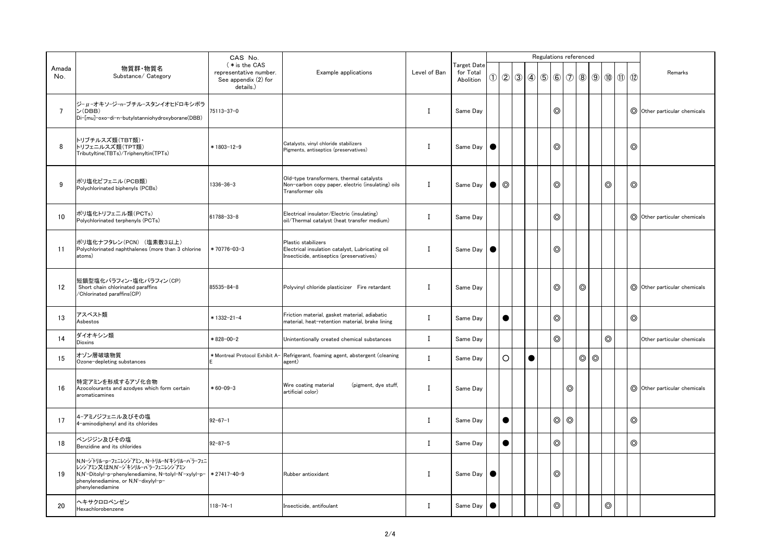|              |                                                                                                                                                                                                 | CAS No.                                                                      |                                                                                                                    |              |                                              |               |                |           | Regulations referenced |                |                |                         |                |                |                                           |                |                                    |
|--------------|-------------------------------------------------------------------------------------------------------------------------------------------------------------------------------------------------|------------------------------------------------------------------------------|--------------------------------------------------------------------------------------------------------------------|--------------|----------------------------------------------|---------------|----------------|-----------|------------------------|----------------|----------------|-------------------------|----------------|----------------|-------------------------------------------|----------------|------------------------------------|
| Amada<br>No. | 物質群·物質名<br>Substance/ Category                                                                                                                                                                  | (* is the CAS<br>representative number.<br>See appendix (2) for<br>details.) | Example applications                                                                                               | Level of Ban | <b>Target Date</b><br>for Total<br>Abolition | $\circled{1}$ |                |           | 299956                 |                | $\circledcirc$ | $\circledS$ $\circledS$ |                |                | $\circled{1}$ $\circled{1}$ $\circled{1}$ |                | Remarks                            |
|              | ジーμ-オキソージーnーブチルースタンイオヒドロキシボラ<br>ン(DBB)<br>Di-[mu]-oxo-di-n-butylstanniohydroxyborane(DBB)                                                                                                       | 75113-37-0                                                                   |                                                                                                                    | I            | Same Day                                     |               |                |           |                        | $^{\circ}$     |                |                         |                |                |                                           |                | O Other particular chemicals       |
| 8            | トリブチルスズ類(TBT類)・<br>トリフェニルスズ類(TPT類)<br>Tributyltine(TBTs)/Triphenyltin(TPTs)                                                                                                                     | $*1803-12-9$                                                                 | Catalysts, vinyl chloride stabilizers<br>Pigments, antiseptics (preservatives)                                     | L            | Same Day                                     |               |                |           |                        | $^{\circ}$     |                |                         |                |                |                                           | $\circledcirc$ |                                    |
| 9            | ポリ塩化ビフェニル(PCB類)<br>Polychlorinated biphenyls (PCBs)                                                                                                                                             | 1336-36-3                                                                    | Old-type transformers, thermal catalysts<br>Non-carbon copy paper, electric (insulating) oils<br>Transformer oils  | $\bf{I}$     | Same Day                                     |               | $\circledcirc$ |           |                        | $\circledcirc$ |                |                         |                | $\circledcirc$ |                                           | $\circledcirc$ |                                    |
| 10           | ポリ塩化トリフェニル類(PCTs)<br>Polychlorinated terphenyls (PCTs)                                                                                                                                          | 61788-33-8                                                                   | Electrical insulator/Electric (insulating)<br>oil/Thermal catalyst (heat transfer medium)                          | I            | Same Day                                     |               |                |           |                        | $^{\circ}$     |                |                         |                |                |                                           |                | O Other particular chemicals       |
| 11           | ポリ塩化ナフタレン(PCN) (塩素数3以上)<br>Polychlorinated naphthalenes (more than 3 chlorine<br>atoms)                                                                                                         | *70776-03-3                                                                  | Plastic stabilizers<br>Electrical insulation catalyst, Lubricating oil<br>Insecticide, antiseptics (preservatives) | L            | Same Day                                     | <b>C</b>      |                |           |                        | $^{\circ}$     |                |                         |                |                |                                           |                |                                    |
| 12           | 短鎖型塩化パラフィン・塩化パラフィン(CP)<br>Short chain chlorinated paraffins<br>/Chlorinated paraffins(CP)                                                                                                       | 85535-84-8                                                                   | Polyvinyl chloride plasticizer Fire retardant                                                                      | T            | Same Day                                     |               |                |           |                        | $^{\circ}$     |                | $\circledcirc$          |                |                |                                           |                | O Other particular chemicals       |
| 13           | アスベスト類<br>Asbestos                                                                                                                                                                              | * 1332-21-4                                                                  | Friction material, gasket material, adiabatic<br>material, heat-retention material, brake lining                   | L            | Same Day                                     |               | G              |           |                        | $\circledcirc$ |                |                         |                |                |                                           | $\circledcirc$ |                                    |
| 14           | ダイオキシン類<br><b>Dioxins</b>                                                                                                                                                                       | *828-00-2                                                                    | Unintentionally created chemical substances                                                                        | $\bf{I}$     | Same Day                                     |               |                |           |                        | $\circledcirc$ |                |                         |                | $\circledcirc$ |                                           |                | Other particular chemicals         |
| 15           | オゾン層破壊物質<br>Ozone-depleting substances                                                                                                                                                          | * Montreal Protocol Exhibit A-                                               | Refrigerant, foaming agent, abstergent (cleaning<br>agent)                                                         | $\mathbf{I}$ | Same Dav                                     |               | $\circ$        | $\bullet$ |                        |                |                | $\circledcirc$          | $\circledcirc$ |                |                                           |                |                                    |
| 16           | 特定アミンを形成するアゾ化合物<br>Azocolourants and azodyes which form certain<br>aromaticamines                                                                                                               | $*60 - 09 - 3$                                                               | (pigment, dye stuff,<br>Wire coating material<br>artificial color)                                                 |              | I Same Day                                   |               |                |           |                        |                | $\circledcirc$ |                         |                |                |                                           |                | $\odot$ Other particular chemicals |
| 17           | 4-アミノジフェニル及びその塩<br>4-aminodiphenyl and its chlorides                                                                                                                                            | $92 - 67 - 1$                                                                |                                                                                                                    | L            | Same Day                                     |               | $\bullet$      |           |                        | $\circledcirc$ | $\circledcirc$ |                         |                |                |                                           | $\circledcirc$ |                                    |
| 18           | ベンジジン及びその塩<br>Benzidine and its chlorides                                                                                                                                                       | $92 - 87 - 5$                                                                |                                                                                                                    | L            | Same Day                                     |               | $\bullet$      |           |                        | $\circledcirc$ |                |                         |                |                |                                           | $\circledcirc$ |                                    |
| 19           | N.N-ジトリルーpーフェニレンジアミン、N-トリルーN'キシリルーパラーフェニ<br>レンジアミン又はN,N'-ジキシリル-パラ-フェニレンジアミン<br>N,N'-Ditolyl-p-phenylenediamine, N-tolyl-N'-xylyl-p-<br>phenylenediamine, or N,N'-dixylyl-p-<br>phenylenediamine | $*27417 - 40 - 9$                                                            | Rubber antioxidant                                                                                                 | L            | Same Day                                     |               |                |           |                        | $\circledcirc$ |                |                         |                |                |                                           |                |                                    |
| 20           | ヘキサクロロベンゼン<br>Hexachlorobenzene                                                                                                                                                                 | 118-74-1                                                                     | Insecticide, antifoulant                                                                                           | L            | Same Day                                     |               |                |           |                        | $\circledcirc$ |                |                         |                | $\circledcirc$ |                                           |                |                                    |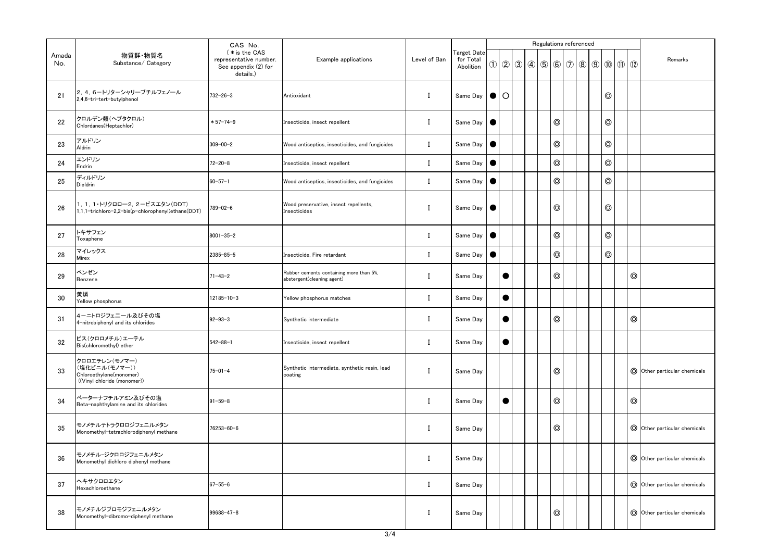|              |                                                                                          | CAS No.                                                                      |                                                                       |              |                                              |           |           |                         | Regulations referenced |                |  |                                                             |                |                |                                          |
|--------------|------------------------------------------------------------------------------------------|------------------------------------------------------------------------------|-----------------------------------------------------------------------|--------------|----------------------------------------------|-----------|-----------|-------------------------|------------------------|----------------|--|-------------------------------------------------------------|----------------|----------------|------------------------------------------|
| Amada<br>No. | 物質群·物質名<br>Substance/ Category                                                           | (* is the CAS<br>representative number.<br>See appendix (2) for<br>details.) | Example applications                                                  | Level of Ban | <b>Target Date</b><br>for Total<br>Abolition |           |           | $\bigcirc$ 2 $\bigcirc$ | $\circ$ 5 6 $\circ$    |                |  | $\circledcirc$ $\circledcirc$ $\circledcirc$ $\circledcirc$ |                |                | Remarks                                  |
| 21           | 2, 4, 6-トリターシャリーブチルフェノール<br>2,4,6-tri-tert-butylphenol                                   | $732 - 26 - 3$                                                               | Antioxidant                                                           | Ι.           | Same Day                                     |           |           |                         |                        |                |  |                                                             | $\circledcirc$ |                |                                          |
| 22           | クロルデン類(ヘプタクロル)<br>Chlordanes(Heptachlor)                                                 | $*57 - 74 - 9$                                                               | Insecticide, insect repellent                                         | Ι            | Same Day                                     | $\bullet$ |           |                         |                        | $\circledcirc$ |  |                                                             | $\circledcirc$ |                |                                          |
| 23           | アルドリン<br>Aldrin                                                                          | $309 - 00 - 2$                                                               | Wood antiseptics, insecticides, and fungicides                        | Ι            | Same Day                                     | $\bullet$ |           |                         |                        | $\circledcirc$ |  |                                                             | $\circledcirc$ |                |                                          |
| 24           | エンドリン<br>Endrin                                                                          | $72 - 20 - 8$                                                                | Insecticide, insect repellent                                         | $\bf{I}$     | Same Day                                     | $\bullet$ |           |                         |                        | $\circledcirc$ |  |                                                             | $\circledcirc$ |                |                                          |
| 25           | ディルドリン<br>Dieldrin                                                                       | $60 - 57 - 1$                                                                | Wood antiseptics, insecticides, and fungicides                        | Ι.           | Same Day                                     | $\bullet$ |           |                         |                        | $\circledcirc$ |  |                                                             | $\circledcirc$ |                |                                          |
| 26           | 1, 1, 1·トリクロロー2, 2-ビスエタン(DDT)<br>1,1,1-trichloro-2,2-bis(p-chlorophenyl)ethane(DDT)      | 789-02-6                                                                     | Wood preservative, insect repellents,<br>Insecticides                 |              | Same Day   <b>O</b>                          |           |           |                         |                        | $\circledcirc$ |  |                                                             | $\circledcirc$ |                |                                          |
| 27           | トキサフェン<br>Toxaphene                                                                      | $8001 - 35 - 2$                                                              |                                                                       | $\bf I$      | Same Day                                     | $\bullet$ |           |                         |                        | $\circledcirc$ |  |                                                             | $\circledcirc$ |                |                                          |
| 28           | マイレックス<br>Mirex                                                                          | 2385-85-5                                                                    | Insecticide, Fire retardant                                           | $\bf{I}$     | Same Day                                     |           |           |                         |                        | $\circledcirc$ |  |                                                             | $\circledcirc$ |                |                                          |
| 29           | ベンゼン<br>Benzene                                                                          | $71 - 43 - 2$                                                                | Rubber cements containing more than 5%,<br>abstergent(cleaning agent) | Ι            | Same Day                                     |           | $\bullet$ |                         |                        | $\circledcirc$ |  |                                                             |                | $\circledcirc$ |                                          |
| 30           | 黄燐<br>Yellow phosphorus                                                                  | $12185 - 10 - 3$                                                             | Yellow phosphorus matches                                             | Ι.           | Same Day                                     |           | $\bullet$ |                         |                        |                |  |                                                             |                |                |                                          |
| 31           | 4-ニトロジフェニール及びその塩<br>4-nitrobiphenyl and its chlorides                                    | $92 - 93 - 3$                                                                | Synthetic intermediate                                                | I            | Same Day                                     |           | $\bullet$ |                         |                        | $\circledcirc$ |  |                                                             |                | $\circledcirc$ |                                          |
| 32           | ビス(クロロメチル)エーテル<br>Bis(chloromethyl) ether                                                | $542 - 88 - 1$                                                               | Insecticide, insect repellent                                         | Ι            | Same Day                                     |           | $\bullet$ |                         |                        |                |  |                                                             |                |                |                                          |
| 33           | クロロエチレン(モノマー)<br>(塩化ビニル(モノマー))<br>Chloroethylene(monomer)<br>((Vinyl chloride (monomer)) | 75-01-4                                                                      | Synthetic intermediate, synthetic resin, lead<br>coating              |              | Same Day                                     |           |           |                         |                        | $\circledcirc$ |  |                                                             |                |                | $\circled{)}$ Other particular chemicals |
| 34           | ベーターナフチルアミン及びその塩<br>Beta-naphthylamine and its chlorides                                 | $91 - 59 - 8$                                                                |                                                                       | Ι.           | Same Day                                     |           | $\bullet$ |                         |                        | $\circledcirc$ |  |                                                             |                | $\circledcirc$ |                                          |
| 35           | モノメチルテトラクロロジフェニルメタン<br>Monomethyl-tetrachlorodiphenyl methane                            | 76253-60-6                                                                   |                                                                       | $\bf{I}$     | Same Day                                     |           |           |                         |                        | $\circledcirc$ |  |                                                             |                |                | O Other particular chemicals             |
| 36           | モノメチルージクロロジフェニルメタン<br>Monomethyl dichloro diphenyl methane                               |                                                                              |                                                                       | Ι.           | Same Day                                     |           |           |                         |                        |                |  |                                                             |                |                | O Other particular chemicals             |
| 37           | ヘキサクロロエタン<br>Hexachloroethane                                                            | $67 - 55 - 6$                                                                |                                                                       | Ι.           | Same Day                                     |           |           |                         |                        |                |  |                                                             |                |                | $\circled{)}$ Other particular chemicals |
| 38           | モノメチルジブロモジフェニルメタン<br>Monomethyl-dibromo-diphenyl methane                                 | 99688-47-8                                                                   |                                                                       | $\bf{I}$     | Same Day                                     |           |           |                         |                        | $\circledcirc$ |  |                                                             |                |                | $\odot$ Other particular chemicals       |